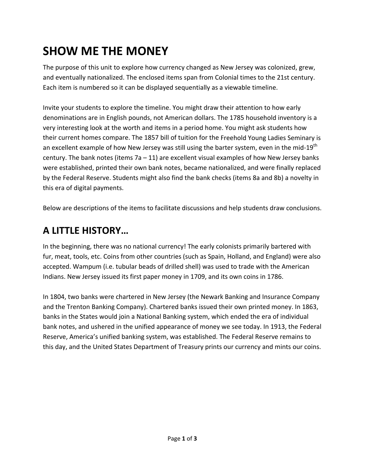# **SHOW ME THE MONEY**

The purpose of this unit to explore how currency changed as New Jersey was colonized, grew, and eventually nationalized. The enclosed items span from Colonial times to the 21st century. Each item is numbered so it can be displayed sequentially as a viewable timeline.

Invite your students to explore the timeline. You might draw their attention to how early denominations are in English pounds, not American dollars. The 1785 household inventory is a very interesting look at the worth and items in a period home. You might ask students how their current homes compare. The 1857 bill of tuition for the Freehold Young Ladies Seminary is an excellent example of how New Jersey was still using the barter system, even in the mid-19<sup>th</sup> century. The bank notes (items  $7a - 11$ ) are excellent visual examples of how New Jersey banks were established, printed their own bank notes, became nationalized, and were finally replaced by the Federal Reserve. Students might also find the bank checks (items 8a and 8b) a novelty in this era of digital payments.

Below are descriptions of the items to facilitate discussions and help students draw conclusions.

# **A LITTLE HISTORY…**

In the beginning, there was no national currency! The early colonists primarily bartered with fur, meat, tools, etc. Coins from other countries (such as Spain, Holland, and England) were also accepted. Wampum (i.e. tubular beads of drilled shell) was used to trade with the American Indians. New Jersey issued its first paper money in 1709, and its own coins in 1786.

In 1804, two banks were chartered in New Jersey (the Newark Banking and Insurance Company and the Trenton Banking Company). Chartered banks issued their own printed money. In 1863, banks in the States would join a National Banking system, which ended the era of individual bank notes, and ushered in the unified appearance of money we see today. In 1913, the Federal Reserve, America's unified banking system, was established. The Federal Reserve remains to this day, and the United States Department of Treasury prints our currency and mints our coins.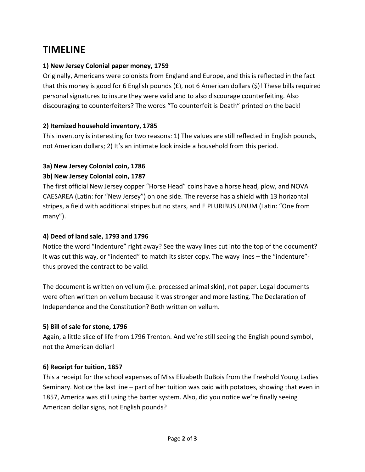# **TIMELINE**

# **1) New Jersey Colonial paper money, 1759**

Originally, Americans were colonists from England and Europe, and this is reflected in the fact that this money is good for 6 English pounds  $(E)$ , not 6 American dollars  $(\xi)$ ! These bills required personal signatures to insure they were valid and to also discourage counterfeiting. Also discouraging to counterfeiters? The words "To counterfeit is Death" printed on the back!

#### **2) Itemized household inventory, 1785**

This inventory is interesting for two reasons: 1) The values are still reflected in English pounds, not American dollars; 2) It's an intimate look inside a household from this period.

# **3a) New Jersey Colonial coin, 1786**

#### **3b) New Jersey Colonial coin, 1787**

The first official New Jersey copper "Horse Head" coins have a horse head, plow, and NOVA CAESAREA (Latin: for "New Jersey") on one side. The reverse has a shield with 13 horizontal stripes, a field with additional stripes but no stars, and E PLURIBUS UNUM (Latin: "One from many").

#### **4) Deed of land sale, 1793 and 1796**

Notice the word "Indenture" right away? See the wavy lines cut into the top of the document? It was cut this way, or "indented" to match its sister copy. The wavy lines – the "indenture"‐ thus proved the contract to be valid.

The document is written on vellum (i.e. processed animal skin), not paper. Legal documents were often written on vellum because it was stronger and more lasting. The Declaration of Independence and the Constitution? Both written on vellum.

#### **5) Bill of sale for stone, 1796**

Again, a little slice of life from 1796 Trenton. And we're still seeing the English pound symbol, not the American dollar!

#### **6) Receipt for tuition, 1857**

This a receipt for the school expenses of Miss Elizabeth DuBois from the Freehold Young Ladies Seminary. Notice the last line – part of her tuition was paid with potatoes, showing that even in 1857, America was still using the barter system. Also, did you notice we're finally seeing American dollar signs, not English pounds?